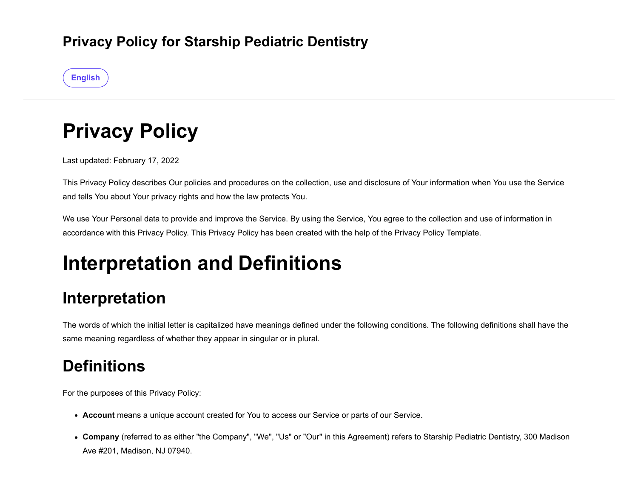### **Privacy Policy for Starship Pediatric Dentistry**

**[English](#page-0-0)**

# <span id="page-0-0"></span>**Privacy Policy**

Last updated: February 17, 2022

This Privacy Policy describes Our policies and procedures on the collection, use and disclosure of Your information when You use the Service and tells You about Your privacy rights and how the law protects You.

We use Your Personal data to provide and improve the Service. By using the Service, You agree to the collection and use of information in accordance with this Privacy Policy. This Privacy Policy has been created with the help of the [Privacy Policy Template.](https://www.freeprivacypolicy.com/blog/sample-privacy-policy-template/)

# **Interpretation and Definitions**

## **Interpretation**

The words of which the initial letter is capitalized have meanings defined under the following conditions. The following definitions shall have the same meaning regardless of whether they appear in singular or in plural.

## **Definitions**

For the purposes of this Privacy Policy:

- **Account** means a unique account created for You to access our Service or parts of our Service.
- **Company** (referred to as either "the Company", "We", "Us" or "Our" in this Agreement) refers to Starship Pediatric Dentistry, 300 Madison Ave #201, Madison, NJ 07940.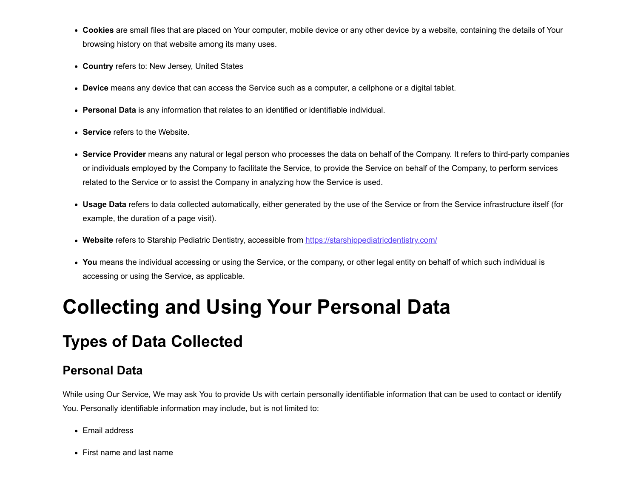- **Cookies** are small files that are placed on Your computer, mobile device or any other device by a website, containing the details of Your browsing history on that website among its many uses.
- **Country** refers to: New Jersey, United States
- **Device** means any device that can access the Service such as a computer, a cellphone or a digital tablet.
- **Personal Data** is any information that relates to an identified or identifiable individual.
- **Service** refers to the Website.
- **Service Provider** means any natural or legal person who processes the data on behalf of the Company. It refers to third-party companies or individuals employed by the Company to facilitate the Service, to provide the Service on behalf of the Company, to perform services related to the Service or to assist the Company in analyzing how the Service is used.
- **Usage Data** refers to data collected automatically, either generated by the use of the Service or from the Service infrastructure itself (for example, the duration of a page visit).
- **Website** refers to Starship Pediatric Dentistry, accessible from <https://starshippediatricdentistry.com/>
- **You** means the individual accessing or using the Service, or the company, or other legal entity on behalf of which such individual is accessing or using the Service, as applicable.

# **Collecting and Using Your Personal Data**

## **Types of Data Collected**

#### **Personal Data**

While using Our Service, We may ask You to provide Us with certain personally identifiable information that can be used to contact or identify You. Personally identifiable information may include, but is not limited to:

- Email address
- First name and last name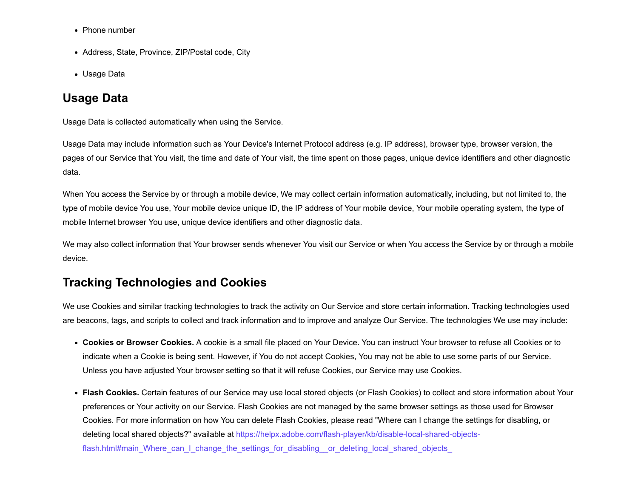- Phone number
- Address, State, Province, ZIP/Postal code, City
- Usage Data

#### **Usage Data**

Usage Data is collected automatically when using the Service.

Usage Data may include information such as Your Device's Internet Protocol address (e.g. IP address), browser type, browser version, the pages of our Service that You visit, the time and date of Your visit, the time spent on those pages, unique device identifiers and other diagnostic data.

When You access the Service by or through a mobile device, We may collect certain information automatically, including, but not limited to, the type of mobile device You use, Your mobile device unique ID, the IP address of Your mobile device, Your mobile operating system, the type of mobile Internet browser You use, unique device identifiers and other diagnostic data.

We may also collect information that Your browser sends whenever You visit our Service or when You access the Service by or through a mobile device.

#### **Tracking Technologies and Cookies**

We use Cookies and similar tracking technologies to track the activity on Our Service and store certain information. Tracking technologies used are beacons, tags, and scripts to collect and track information and to improve and analyze Our Service. The technologies We use may include:

- **Cookies or Browser Cookies.** A cookie is a small file placed on Your Device. You can instruct Your browser to refuse all Cookies or to indicate when a Cookie is being sent. However, if You do not accept Cookies, You may not be able to use some parts of our Service. Unless you have adjusted Your browser setting so that it will refuse Cookies, our Service may use Cookies.
- **Flash Cookies.** Certain features of our Service may use local stored objects (or Flash Cookies) to collect and store information about Your preferences or Your activity on our Service. Flash Cookies are not managed by the same browser settings as those used for Browser Cookies. For more information on how You can delete Flash Cookies, please read "Where can I change the settings for disabling, or [deleting local shared objects?" available at https://helpx.adobe.com/flash-player/kb/disable-local-shared-objects](https://helpx.adobe.com/flash-player/kb/disable-local-shared-objects-flash.html#main_Where_can_I_change_the_settings_for_disabling__or_deleting_local_shared_objects_)flash.html#main\_Where\_can\_I\_change\_the\_settings\_for\_disabling\_\_or\_deleting\_local\_shared\_objects\_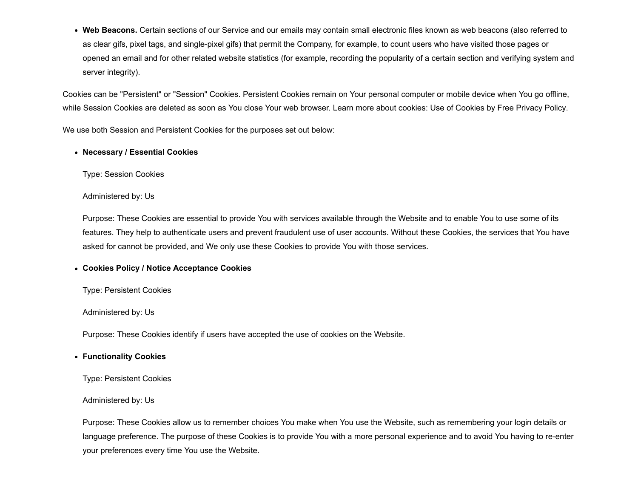**Web Beacons.** Certain sections of our Service and our emails may contain small electronic files known as web beacons (also referred to as clear gifs, pixel tags, and single-pixel gifs) that permit the Company, for example, to count users who have visited those pages or opened an email and for other related website statistics (for example, recording the popularity of a certain section and verifying system and server integrity).

Cookies can be "Persistent" or "Session" Cookies. Persistent Cookies remain on Your personal computer or mobile device when You go offline, while Session Cookies are deleted as soon as You close Your web browser. Learn more about cookies: [Use of Cookies by Free Privacy Policy](https://www.freeprivacypolicy.com/blog/sample-privacy-policy-template/#Use_Of_Cookies_And_Tracking).

We use both Session and Persistent Cookies for the purposes set out below:

#### **Necessary / Essential Cookies**

Type: Session Cookies

Administered by: Us

Purpose: These Cookies are essential to provide You with services available through the Website and to enable You to use some of its features. They help to authenticate users and prevent fraudulent use of user accounts. Without these Cookies, the services that You have asked for cannot be provided, and We only use these Cookies to provide You with those services.

#### **Cookies Policy / Notice Acceptance Cookies**

Type: Persistent Cookies

Administered by: Us

Purpose: These Cookies identify if users have accepted the use of cookies on the Website.

#### **Functionality Cookies**

Type: Persistent Cookies

#### Administered by: Us

Purpose: These Cookies allow us to remember choices You make when You use the Website, such as remembering your login details or language preference. The purpose of these Cookies is to provide You with a more personal experience and to avoid You having to re-enter your preferences every time You use the Website.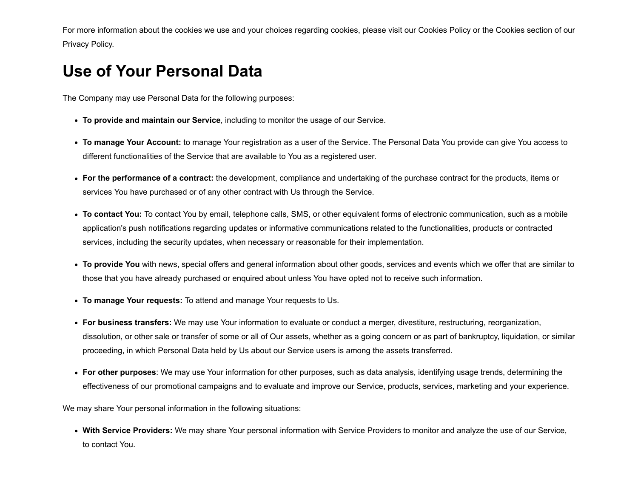For more information about the cookies we use and your choices regarding cookies, please visit our Cookies Policy or the Cookies section of our Privacy Policy.

## **Use of Your Personal Data**

The Company may use Personal Data for the following purposes:

- **To provide and maintain our Service**, including to monitor the usage of our Service.
- **To manage Your Account:** to manage Your registration as a user of the Service. The Personal Data You provide can give You access to different functionalities of the Service that are available to You as a registered user.
- **For the performance of a contract:** the development, compliance and undertaking of the purchase contract for the products, items or services You have purchased or of any other contract with Us through the Service.
- **To contact You:** To contact You by email, telephone calls, SMS, or other equivalent forms of electronic communication, such as a mobile application's push notifications regarding updates or informative communications related to the functionalities, products or contracted services, including the security updates, when necessary or reasonable for their implementation.
- **To provide You** with news, special offers and general information about other goods, services and events which we offer that are similar to those that you have already purchased or enquired about unless You have opted not to receive such information.
- **To manage Your requests:** To attend and manage Your requests to Us.
- **For business transfers:** We may use Your information to evaluate or conduct a merger, divestiture, restructuring, reorganization, dissolution, or other sale or transfer of some or all of Our assets, whether as a going concern or as part of bankruptcy, liquidation, or similar proceeding, in which Personal Data held by Us about our Service users is among the assets transferred.
- **For other purposes**: We may use Your information for other purposes, such as data analysis, identifying usage trends, determining the effectiveness of our promotional campaigns and to evaluate and improve our Service, products, services, marketing and your experience.

We may share Your personal information in the following situations:

**With Service Providers:** We may share Your personal information with Service Providers to monitor and analyze the use of our Service, to contact You.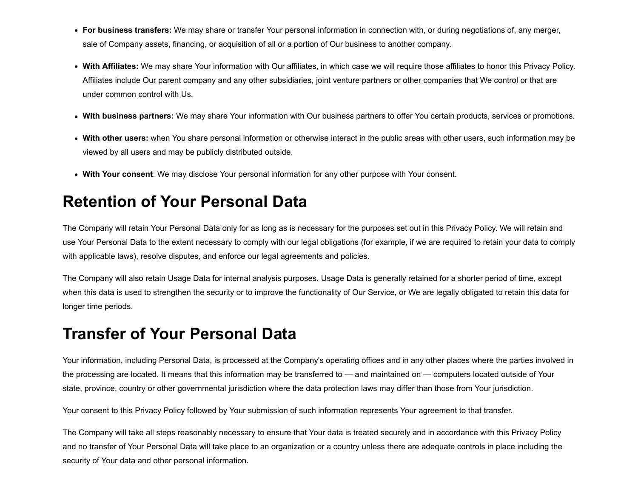- **For business transfers:** We may share or transfer Your personal information in connection with, or during negotiations of, any merger, sale of Company assets, financing, or acquisition of all or a portion of Our business to another company.
- **With Affiliates:** We may share Your information with Our affiliates, in which case we will require those affiliates to honor this Privacy Policy. Affiliates include Our parent company and any other subsidiaries, joint venture partners or other companies that We control or that are under common control with Us.
- **With business partners:** We may share Your information with Our business partners to offer You certain products, services or promotions.
- **With other users:** when You share personal information or otherwise interact in the public areas with other users, such information may be viewed by all users and may be publicly distributed outside.
- **With Your consent**: We may disclose Your personal information for any other purpose with Your consent.

### **Retention of Your Personal Data**

The Company will retain Your Personal Data only for as long as is necessary for the purposes set out in this Privacy Policy. We will retain and use Your Personal Data to the extent necessary to comply with our legal obligations (for example, if we are required to retain your data to comply with applicable laws), resolve disputes, and enforce our legal agreements and policies.

The Company will also retain Usage Data for internal analysis purposes. Usage Data is generally retained for a shorter period of time, except when this data is used to strengthen the security or to improve the functionality of Our Service, or We are legally obligated to retain this data for longer time periods.

## **Transfer of Your Personal Data**

Your information, including Personal Data, is processed at the Company's operating offices and in any other places where the parties involved in the processing are located. It means that this information may be transferred to — and maintained on — computers located outside of Your state, province, country or other governmental jurisdiction where the data protection laws may differ than those from Your jurisdiction.

Your consent to this Privacy Policy followed by Your submission of such information represents Your agreement to that transfer.

The Company will take all steps reasonably necessary to ensure that Your data is treated securely and in accordance with this Privacy Policy and no transfer of Your Personal Data will take place to an organization or a country unless there are adequate controls in place including the security of Your data and other personal information.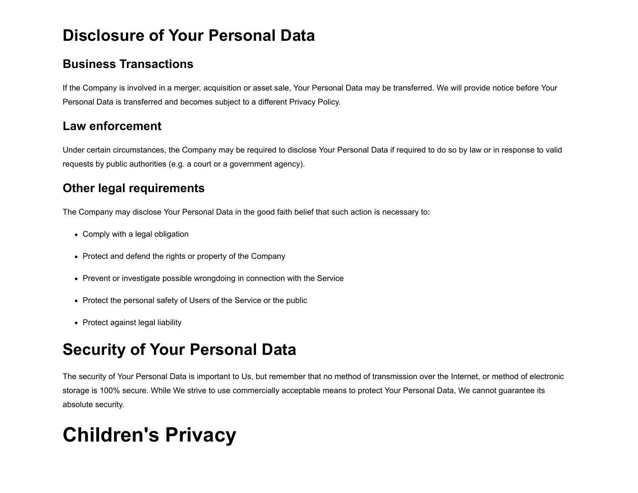## **Disclosure of Your Personal Data**

#### **Business Transactions**

If the Company is involved in a merger, acquisition or asset sale, Your Personal Data may be transferred. We will provide notice before Your Personal Data is transferred and becomes subject to a different Privacy Policy.

### **Law enforcement**

Under certain circumstances, the Company may be required to disclose Your Personal Data if required to do so by law or in response to valid requests by public authorities (e.g. a court or a government agency).

### **Other legal requirements**

The Company may disclose Your Personal Data in the good faith belief that such action is necessary to:

- Comply with a legal obligation
- Protect and defend the rights or property of the Company
- Prevent or investigate possible wrongdoing in connection with the Service
- Protect the personal safety of Users of the Service or the public
- Protect against legal liability

## **Security of Your Personal Data**

The security of Your Personal Data is important to Us, but remember that no method of transmission over the Internet, or method of electronic storage is 100% secure. While We strive to use commercially acceptable means to protect Your Personal Data, We cannot guarantee its absolute security.

# **Children's Privacy**